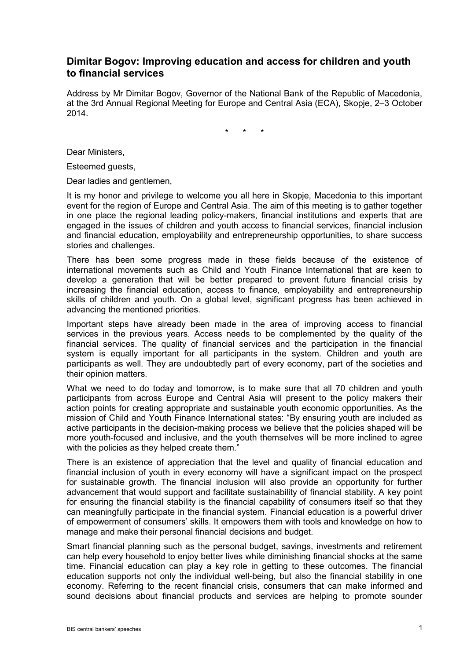## **Dimitar Bogov: Improving education and access for children and youth to financial services**

Address by Mr Dimitar Bogov, Governor of the National Bank of the Republic of Macedonia, at the 3rd Annual Regional Meeting for Europe and Central Asia (ECA), Skopje, 2–3 October 2014.

\* \* \*

Dear Ministers,

Esteemed guests,

Dear ladies and gentlemen,

It is my honor and privilege to welcome you all here in Skopje, Macedonia to this important event for the region of Europe and Central Asia. The aim of this meeting is to gather together in one place the regional leading policy-makers, financial institutions and experts that are engaged in the issues of children and youth access to financial services, financial inclusion and financial education, employability and entrepreneurship opportunities, to share success stories and challenges.

There has been some progress made in these fields because of the existence of international movements such as Child and Youth Finance International that are keen to develop a generation that will be better prepared to prevent future financial crisis by increasing the financial education, access to finance, employability and entrepreneurship skills of children and youth. On a global level, significant progress has been achieved in advancing the mentioned priorities.

Important steps have already been made in the area of improving access to financial services in the previous years. Access needs to be complemented by the quality of the financial services. The quality of financial services and the participation in the financial system is equally important for all participants in the system. Children and youth are participants as well. They are undoubtedly part of every economy, part of the societies and their opinion matters.

What we need to do today and tomorrow, is to make sure that all 70 children and youth participants from across Europe and Central Asia will present to the policy makers their action points for creating appropriate and sustainable youth economic opportunities. As the mission of Child and Youth Finance International states: "By ensuring youth are included as active participants in the decision-making process we believe that the policies shaped will be more youth-focused and inclusive, and the youth themselves will be more inclined to agree with the policies as they helped create them."

There is an existence of appreciation that the level and quality of financial education and financial inclusion of youth in every economy will have a significant impact on the prospect for sustainable growth. The financial inclusion will also provide an opportunity for further advancement that would support and facilitate sustainability of financial stability. A key point for ensuring the financial stability is the financial capability of consumers itself so that they can meaningfully participate in the financial system. Financial education is a powerful driver of empowerment of consumers' skills. It empowers them with tools and knowledge on how to manage and make their personal financial decisions and budget.

Smart financial planning such as the personal budget, savings, investments and retirement can help every household to enjoy better lives while diminishing financial shocks at the same time. Financial education can play a key role in getting to these outcomes. The financial education supports not only the individual well-being, but also the financial stability in one economy. Referring to the recent financial crisis, consumers that can make informed and sound decisions about financial products and services are helping to promote sounder